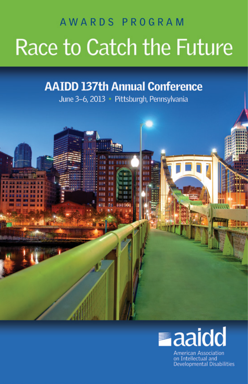# AWARDS PROGRAM Race to Catch the Future

## **AAIDD 137th Annual Conference**

June 3-6, 2013 · Pittsburgh, Pennsylvania



**American Association** on Intellectual and **Developmental Disabilities**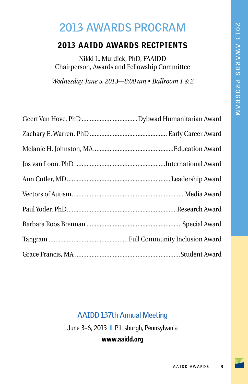## **2013 AWARDS PROGRAM**

#### 2013 AAIDD AWARDS RECIPIENTS

Nikki L. Murdick, PhD, FAAIDD Chairperson, Awards and Fellowship Committee

*Wednesday, June 5, 2013—8:00 am • Ballroom 1 & 2*

#### **AAIDD 137th Annual Meeting**

June 3-6, 2013 | Pittsburgh, Pennsylvania

#### www.aaidd.org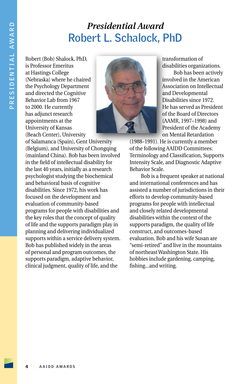#### *Presidential Award* **Robert L. Schalock, PhD**

Robert (Bob) Shalock, PhD, is Professor Emeritus at Hastings College (Nebraska) where he chaired the Psychology Department and directed the Cognitive Behavior Lab from 1967 to 2000. He currently has adjunct research appointments at the University of Kansas (Beach Center), University



of Salamanca (Spain), Gent University (Belgium), and University of Chongqing (mainland China). Bob has been involved in the field of intellectual disability for the last 40 years, initially as a research psychologist studying the biochemical and behavioral basis of cognitive disabilities. Since 1972, his work has focused on the development and evaluation of community-based programs for people with disabilities and the key roles that the concept of quality of life and the supports paradigm play in planning and delivering individualized supports within a service delivery system. Bob has published widely in the areas of personal and program outcomes, the supports paradigm, adaptive behavior, clinical judgment, quality of life, and the

transformation of disabilities organizations.

Bob has been actively involved in the American Association on Intellectual and Developmental Disabilities since 1972. He has served as President of the Board of Directors (AAMR, 1997–1998) and President of the Academy on Mental Retardation

(1988–1991). He is currently a member of the following AAIDD Committees: Terminology and Classification, Supports Intensity Scale, and Diagnostic Adaptive Behavior Scale.

Bob is a frequent speaker at national and international conferences and has assisted a number of jurisdictions in their efforts to develop community-based programs for people with intellectual and closely related developmental disabilities within the context of the supports paradigm, the quality of life construct, and outcomes-based evaluation. Bob and his wife Susan are "semi-retired" and live in the mountains of northeast Washington State. His hobbies include gardening, camping, fishing...and writing.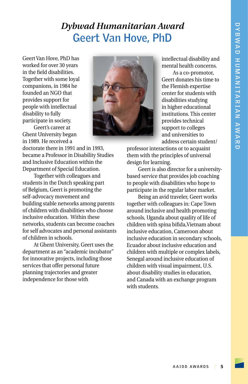#### *Dybwad Humanitarian Award* **Geert Van Hove, PhD**

Geert Van Hove, PhD has worked for over 30 years in the field disabilities. Together with some loyal companions, in 1984 he founded an NGO that provides support for people with intellectual disability to fully participate in society.

Geert's career at Ghent University began in 1989. He received a

doctorate there in 1991 and in 1993, became a Professor in Disability Studies and Inclusive Education within the Department of Special Education.

Together with colleagues and students in the Dutch speaking part of Belgium, Geert is promoting the self-advocacy movement and building stable networks among parents of children with disabilities who choose inclusive education. Within these networks, students can become coaches for self advocates and personal assistants of children in schools.

At Ghent University, Geert uses the department as an "academic incubator" for innovative projects, including those services that offer personal future planning trajectories and greater independence for those with



intellectual disability and mental health concerns.

As a co-promotor, Geert donates his time to the Flemish expertise center for students with disabilities studying in higher educational institutions. This center provides technical support to colleges and universities to address certain student/

professor interactions or to acquaint them with the principles of universal design for learning.

Geert is also director for a universitybased service that provides job coaching to people with disabilities who hope to participate in the regular labor market.

Being an avid traveler, Geert works together with colleagues in: Cape Town around inclusive and health promoting schools, Uganda about quality of life of children with spina bifida,Vietnam about inclusive education, Cameroon about inclusive education in secondary schools, Ecuador about inclusive education and children with multiple or complex labels, Senegal around inclusive education of children with visual impairment, U.S. about disability studies in education, and Canada with an exchange program with students.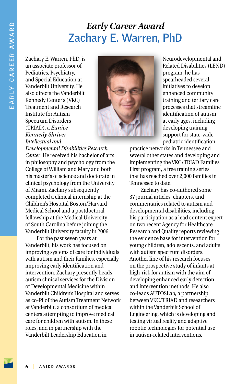#### *Early Career Award* **Zachary E. Warren, PhD**

Zachary E. Warren, PhD, is an associate professor of Pediatrics, Psychiatry, and Special Education at Vanderbilt University. He also directs the Vanderbilt Kennedy Center's (VKC) Treatment and Research Institute for Autism Spectrum Disorders (TRIAD), a *Eunice Kennedy Shriver Intellectual and* 



Neurodevelopmental and Related Disabilities (LEND) program, he has spearheaded several initiatives to develop enhanced community training and tertiary care processes that streamline identification of autism at early ages, including developing training support for state-wide pediatric identification

*Developmental Disabilities Research Center*. He received his bachelor of arts in philosophy and psychology from the College of William and Mary and both his master's of science and doctorate in clinical psychology from the University of Miami. Zachary subsequently completed a clinical internship at the Children's Hospital Boston/Harvard Medical School and a postdoctoral fellowship at the Medical University of South Carolina before joining the Vanderbilt University faculty in 2006.

For the past seven years at Vanderbilt, his work has focused on improving systems of care for individuals with autism and their families, especially improving early identification and intervention. Zachary presently heads autism clinical services for the Division of Developmental Medicine within Vanderbilt Children's Hospital and serves as co-PI of the Autism Treatment Network at Vanderbilt, a consortium of medical centers attempting to improve medical care for children with autism. In these roles, and in partnership with the Vanderbilt Leadership Education in

practice networks in Tennessee and several other states and developing and implementing the VKC/TRIAD Families First program, a free training series that has reached over 2,000 families in Tennessee to date.

Zachary has co-authored some 37 journal articles, chapters, and commentaries related to autism and developmental disabilities, including his participation as a lead content expert on two recent Agency for Healthcare Research and Quality reports reviewing the evidence base for intervention for young children, adolescents, and adults with autism spectrum disorders. Another line of his research focuses on the prospective study of infants at high-risk for autism with the aim of developing enhanced early detection and intervention methods. He also co-leads AUTOSLab, a partnership between VKC/TRIAD and researchers within the Vanderbilt School of Engineering, which is developing and testing virtual reality and adaptive robotic technologies for potential use in autism-related interventions.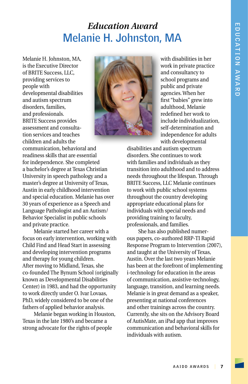#### *Education Award* **Melanie H. Johnston, MA**

Melanie H. Johnston, MA, is the Executive Director of BRITE Success, LLC, providing services to people with developmental disabilities and autism spectrum disorders, families, and professionals. BRITE Success provides assessment and consultation services and teaches children and adults the



with disabilities in her work in private practice and consultancy to school programs and public and private agencies. When her first "babies" grew into adulthood, Melanie redefined her work to include individualization, self-determination and independence for adults with developmental

communication, behavioral and readiness skills that are essential for independence. She completed a bachelor's degree at Texas Christian University in speech pathology and a master's degree at University of Texas, Austin in early childhood intervention and special education. Melanie has over 30 years of experience as a Speech and Language Pathologist and an Autism/ Behavior Specialist in public schools and private practice.

Melanie started her career with a focus on early intervention, working with Child Find and Head Start in assessing and developing intervention programs and therapy for young children. After moving to Midland, Texas, she co-founded The Bynum School (originally known as Developmental Disabilities Center) in 1983, and had the opportunity to work directly under O. Ivar Lovaas, PhD, widely considered to be one of the fathers of applied behavior analysis.

Melanie began working in Houston, Texas in the late 1980's and became a strong advocate for the rights of people

disabilities and autism spectrum disorders. She continues to work with families and individuals as they transition into adulthood and to address needs throughout the lifespan. Through BRITE Success, LLC Melanie continues to work with public school systems throughout the country developing appropriate educational plans for individuals with special needs and providing training to faculty, professionals, and families.

She has also published numerous papers, co-authored RRP-TI Rapid Response Program to Intervention (2007), and taught at the University of Texas, Austin. Over the last two years Melanie has been at the forefront of implementing i-technology for education in the areas of communication, assistive-technology, language, transition, and learning needs. Melanie is in great demand as a speaker, presenting at national conferences and other trainings across the country. Currently, she sits on the Advisory Board of AutisMate, an iPad app that improves communication and behavioral skills for individuals with autism.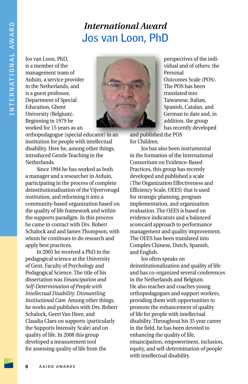#### *International Award* **Jos van Loon, PhD**

Jos van Loon, PhD, is a member of the management team of Arduin, a service provider in the Netherlands, and is a guest professor, Department of Special Education, Ghent University (Belgium). Beginning in 1979 he worked for 15 years as an



orthopedagogue (special educator) in an institution for people with intellectual disability. Here he, among other things, introduced Gentle Teaching in the Netherlands.

Since 1994 he has worked as both a manager and a researcher in Arduin, participating in the process of complete deinstitutionalization of the Vijvervreugd institution, and reforming it into a community-based organization based on the quality of life framework and within the supports paradigm. In this process he came in contact with Drs. Robert Schalock and and James Thompson, with whom he continues to do research and apply best practices.

In 2005 he received a PhD in the pedagogical science at the University of Gent, Faculty of Psychology and Pedagogical Science. The title of his dissertation was *Emancipation and Self-Determination of People with Intellectual Disability: Dismantling Institutional Care*. Among other things, he works and publishes with Drs. Robert Schalock, Geert Van Hove, and Claudia Claes on supports (particularly the Supports Intensity Scale) and on quality of life. In 2008 this group developed a measurement tool for assessing quality of life from the

perspectives of the individual and of others: the Personal Outcomes Scale (POS). The POS has been translated into Taiwanese, Italian, Spanish, Catalan, and German to date and, in addition, the group has recently developed

and published the POS for Children.

Jos has also been instrumental in the formation of the International Consortium on Evidence-Based Practices, this group has recently developed and published a scale (The Organization Effectiveness and Efficiency Scale, OEES) that is used for strategic planning, program implementation, and organization evaluation. The OEES is based on evidence indicators and a balanced scorecard approach to performance management and quality improvement. The OEES has been translated into Complex Chinese, Dutch, Spanish, and English.

Jos often speaks on deinstitutionalization and quality of life and has co-organized several conferences in the Netherlands and Belgium. He also teaches and coaches young orthopedagogues and support workers, providing them with opportunities to promote the enhancement of quality of life for people with intellectual disability. Throughout his 35 year career in the field, he has been devoted to enhancing the quality of life, emancipation, empowerment, inclusion, equity, and self-determination of people with intellectual disability.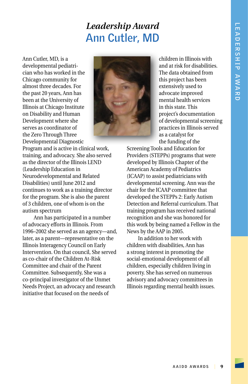#### *Leadership Award* **Ann Cutler, MD**

Ann Cutler, MD, is a developmental pediatrician who has worked in the Chicago community for almost three decades. For the past 20 years, Ann has been at the University of Illinois at Chicago Institute on Disability and Human Development where she serves as coordinator of the Zero Through Three Developmental Diagnostic



children in Illinois with and at risk for disabilities. The data obtained from this project has been extensively used to advocate improved mental health services in this state. This project's documentation of developmental screening practices in Illinois served as a catalyst for the funding of the

Program and is active in clinical work, training, and advocacy. She also served as the director of the Illinois LEND (Leadership Education in Neurodevelopmental and Related Disabilities) until June 2012 and continues to work as a training director for the program. She is also the parent of 3 children, one of whom is on the autism spectrum

Ann has participated in a number of advocacy efforts in Illinois. From 1996–2002 she served as an agency—and, later, as a parent—representative on the Illinois Interagency Council on Early Intervention. On that council, She served as co-chair of the Children At-Risk Committee and chair of the Parent Committee. Subsequently, She was a co-principal investigator of the Unmet Needs Project, an advocacy and research initiative that focused on the needs of

Screening Tools and Education for Providers (STEPPs) programs that were developed by Illinois Chapter of the American Academy of Pediatrics (ICAAP) to assist pediatricians with developmental screening. Ann was the chair for the ICAAP committee that developed the STEPPs 2: Early Autism Detection and Referral curriculum. That training program has received national recognition and she was honored for this work by being named a Fellow in the News by the AAP in 2005.

In addition to her work with children with disabilities, Ann has a strong interest in promoting the social-emotional development of all children, especially children living in poverty. She has served on numerous advisory and advocacy committees in Illinois regarding mental health issues.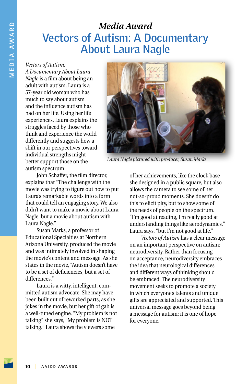#### *Media Award* **Vectors of Autism: A Documentary About Laura Nagle**

*Vectors of Autism:* 

*A Documentary About Laura Nagle* is a film about being an adult with autism. Laura is a 57-year old woman who has much to say about autism and the influence autism has had on her life. Using her life experiences, Laura explains the struggles faced by those who think and experience the world differently and suggests how a shift in our perspectives toward individual strengths might better support those on the autism spectrum.



*Laura Nagle pictured with producer, Susan Marks*

John Schaffer, the film director, explains that "The challenge with the movie was trying to figure out how to put Laura's remarkable words into a form that could tell an engaging story. We also didn't want to make a movie about Laura Nagle, but a movie about autism with Laura Nagle."

Susan Marks, a professor of Educational Specialties at Northern Arizona University, produced the movie and was intimately involved in shaping the movie's content and message. As she states in the movie, "Autism doesn't have to be a set of deficiencies, but a set of differences."

Laura is a witty, intelligent, committed autism advocate. She may have been built out of reworked parts, as she jokes in the movie, but her gift of gab is a well-tuned engine. "My problem is not talking" she says, "My problem is NOT talking." Laura shows the viewers some

of her achievements, like the clock base she designed in a public square, but also allows the camera to see some of her not-so-proud moments. She doesn't do this to elicit pity, but to show some of the needs of people on the spectrum. "I'm good at reading, I'm really good at understanding things like aerodynamics," Laura says, "but I'm not good at life."

*Vectors of Autism* has a clear message on an important perspective on autism: neurodiversity. Rather than focusing on acceptance, neurodiversity embraces the idea that neurological differences and different ways of thinking should be embraced. The neurodiversity movement seeks to promote a society in which everyone's talents and unique gifts are appreciated and supported. This universal message goes beyond being a message for autism; it is one of hope for everyone.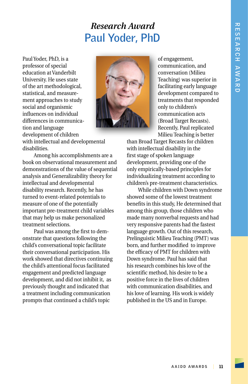#### *Research Award* **Paul Yoder, PhD**

Paul Yoder, PhD, is a professor of special education at Vanderbilt University. He uses state of the art methodological, statistical, and measurement approaches to study social and organismic influences on individual differences in communication and language development of children



of engagement, communication, and conversation (Milieu Teaching) was superior in facilitating early language development compared to treatments that responded only to children's communication acts (Broad Target Recasts). Recently, Paul replicated Milieu Teaching is better

with intellectual and developmental disabilities.

Among his accomplishments are a book on observational measurement and demonstrations of the value of sequential analysis and Generalizability theory for intellectual and developmental disability research. Recently, he has turned to event-related potentials to measure of one of the potentially important pre-treatment child variables that may help us make personalized treatment selections.

Paul was among the first to demonstrate that questions following the child's conversational topic facilitate their conversational participation. His work showed that directives continuing the child's attentional focus facilitated engagement and predicted language development, and did not inhibit it, as previously thought and indicated that a treatment including communication prompts that continued a child's topic

than Broad Target Recasts for children with intellectual disability in the first stage of spoken language development, providing one of the only empirically-based principles for individualizing treatment according to children's pre-treatment characteristics.

While children with Down syndrome showed some of the lowest treatment benefits in this study, He determined that among this group, those children who made many nonverbal requests and had very responsive parents had the fastest language growth. Out of this research, Prelinguistic Milieu Teaching (PMT) was born, and further modified to improve the efficacy of PMT for children with Down syndrome. Paul has said that his research combines his love of the scientific method, his desire to be a positive force in the lives of children with communication disabilities, and his love of learning. His work is widely published in the US and in Europe.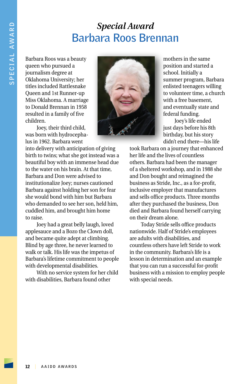#### *Special Award* **Barbara Roos Brennan**

Barbara Roos was a beauty queen who pursued a journalism degree at Oklahoma University; her titles included Rattlesnake Queen and 1st Runner-up Miss Oklahoma. A marriage to Donald Brennan in 1958 resulted in a family of five children.

Joey, their third child, was born with hydrocephalus in 1962. Barbara went

into delivery with anticipation of giving birth to twins; what she got instead was a beautiful boy with an immense head due to the water on his brain. At that time, Barbara and Don were advised to institutionalize Joey; nurses cautioned Barbara against holding her son for fear she would bond with him but Barbara who demanded to see her son, held him, cuddled him, and brought him home to raise.

Joey had a great belly laugh, loved applesauce and a Bozo the Clown doll, and became quite adept at climbing. Blind by age three, he never learned to walk or talk. His life was the impetus of Barbara's lifetime commitment to people with developmental disabilities.

With no service system for her child with disabilities, Barbara found other



mothers in the same position and started a school. Initially a summer program, Barbara enlisted teenagers willing to volunteer time, a church with a free basement, and eventually state and federal funding.

Joey's life ended just days before his 8th birthday, but his story didn't end there—his life

took Barbara on a journey that enhanced her life and the lives of countless others. Barbara had been the manager of a sheltered workshop, and in 1988 she and Don bought and reimagined the business as Stride, Inc., as a for-profit, inclusive employer that manufactures and sells office products. Three months after they purchased the business, Don died and Barbara found herself carrying on their dream alone.

Today Stride sells office products nationwide. Half of Stride's employees are adults with disabilities, and countless others have left Stride to work in the community. Barbara's life is a lesson in determination and an example that you can run a successful for-profit business with a mission to employ people with special needs.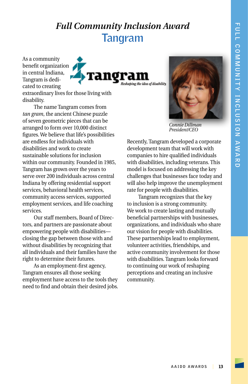#### *Full Community Inclusion Award* **Tangram**

As a community benefit organization in central Indiana, Tangram is dedicated to creating



extraordinary lives for those living with disability.

The name Tangram comes from *tan gram*, the ancient Chinese puzzle of seven geometric pieces that can be arranged to form over 10,000 distinct figures. We believe that life's possibilities are endless for individuals with disabilities and work to create sustainable solutions for inclusion within our community. Founded in 1985, Tangram has grown over the years to serve over 200 individuals across central Indiana by offering residential support services, behavioral health services, community access services, supported employment services, and life coaching services.

Our staff members, Board of Directors, and partners are passionate about empowering people with disabilities closing the gap between those with and without disabilities by recognizing that all individuals and their families have the right to determine their futures.

As an employment-first agency, Tangram ensures all those seeking employment have access to the tools they need to find and obtain their desired jobs.



*Connie Dillman President/CEO*

Recently, Tangram developed a corporate development team that will work with companies to hire qualified individuals with disabilities, including veterans. This model is focused on addressing the key challenges that businesses face today and will also help improve the unemployment rate for people with disabilities.

Tangram recognizes that the key to inclusion is a strong community. We work to create lasting and mutually beneficial partnerships with businesses, organizations, and individuals who share our vision for people with disabilities. These partnerships lead to employment, volunteer activities, friendships, and active community involvement for those with disabilities. Tangram looks forward to continuing our work of reshaping perceptions and creating an inclusive community.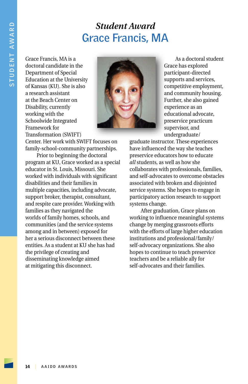#### *Student Award* **Grace Francis, MA**

Grace Francis, MA is a doctoral candidate in the Department of Special Education at the University of Kansas (KU). She is also a research assistant at the Beach Center on Disability, currently working with the Schoolwide Integrated Framework for Transformation (SWIFT)



As a doctoral student Grace has explored participant-directed supports and services, competitive employment, and community housing. Further, she also gained experience as an educational advocate, preservice practicum supervisor, and undergraduate/

Center. Her work with SWIFT focuses on family-school-community partnerships. Prior to beginning the doctoral

program at KU, Grace worked as a special educator in St. Louis, Missouri. She worked with individuals with significant disabilities and their families in multiple capacities, including advocate, support broker, therapist, consultant, and respite care provider. Working with families as they navigated the worlds of family homes, schools, and communities (and the service systems among and in between) exposed for her a serious disconnect between these entities. As a student at KU she has had the privilege of creating and disseminating knowledge aimed at mitigating this disconnect.

graduate instructor. These experiences have influenced the way she teaches preservice educators how to educate *all* students, as well as how she collaborates with professionals, families, and self-advocates to overcome obstacles associated with broken and disjointed service systems. She hopes to engage in participatory action research to support systems change.

After graduation, Grace plans on working to influence meaningful systems change by merging grassroots efforts with the efforts of large higher education institutions and professional/family/ self-advocacy organizations. She also hopes to continue to teach preservice teachers and be a reliable ally for self-advocates and their families.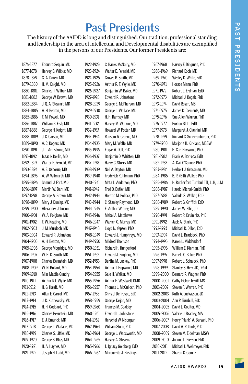### **Past Presidents**

The history of the AAIDD is long and distinguished. Our tradition, professional standing, and leadership in the area of intellectual and Developmental disabilities are exemplified in the persons of our Presidents. Our former Presidents are:

1876-1877 Edouard Sequin, MD 1877-1878 Hervey B. Wilbur, MD 1878-1879 G. A. Doren, MD 1879–1880 H. M. Knight, MD 1880-1881 Charles T. Wilbur, MD 1881-1882 George W. Brown, MD 1882–1884 J. Q. A. Stewart, MD 1884–1885 A. H. Beaton, MD 1885–1886 F. M. Powell, MD 1886-1887 William B. Fish, MD 1887-1888 George H. Knight, MD 1888-1889 J. C. Carson, MD 1889-1890 A. C. Rogers, MD 1890–1891 J. T. Armstrong, MD 1891–1892 Isaac N.Kerlin, MD 1892-1893 Walter E. Fernald, MD 1893–1894 A. E. Osborne, MD 1894-1895 A. W. Wilmarth, MD 1895–1896 Samuel J. Fort, MD 1896–1897 Martin W. Barr, MD 1897-1898 George A. Brown, MD 1898-1899 Mary J. Dunlap, MD 1899–1900 Alexander Johnson 1900–1901 W. A. Polglase, MD 1901-1902 F. W. Keating, MD 1902–1903 J. M. Murdoch, MD 1903–1904 Edward R. Johnstone 1904–1905 A. H. Beaton, MD 1905–1906 George Mogridge, MD 1906–1907 W. H. C. Smith, MD 1907–1908 Charles Bernstein, MD 1908–1909 W. N. Bullard, MD 1909–1910 Miss Mattie Gundry 1910–1911 Arthur R.T. Wylie, MD 1911–1912 H. G. Hardt, MD 1912–1913 Allan E. Carrol, MD 1913–1914 J. K. Kutnewsky, MD 1914–1915 H. H. Goddard, PhD 1915–1916 Charles Bernstein, MD 1916–1917 E. J. Emerick, MD 1917–1918 George L. Wallace, MD 1918–1919 Charles S. Little, MD 1919–1920 George S. Bliss, MD 1920–1921 H. A. Haynes, MD 1921–1922 Joseph H. Ladd, MD

1922–1923 C. Banks McNairy, MD 1923–1924 Walter E. Fernald, MD 1924–1925 Groves B. Smith, MD 1925–1926 Arthur R. T. Wylie, MD 1926–1927 Benjamin W. Baker, MD 1927–1928 Edward R. Johnstone 1928–1929 George E. McPherson, MD 1929–1930 George L. Wallace, MD 1930–1931 H. H. Ramsey, MD 1931-1932 Harvey M. Watkins, MD 1932–1933 Howard W. Potter, MD 1933–1934 Ransom A. Greene, MD 1934–1935 Mary M. Wolfe, MD 1935-1936 Edgar A. Doll, PhD 1936–1937 Benjamin O. Whitten, MD 1937–1938 Harry C. Storrs, MD 1938–1939 Neil A. Dayton, MD 1939–1940 Frederick Kuhlmann, PhD 1940–1941 Meta L. Anderson, PhD 1941–1942 Fred O. Butler, MD 1942–1943 Horatio M. Pollock, PhD 1943–1944 C. Stanley Raymond, MD 1944–1945 E. Arthur Witney, MD 1945-1946 Mabel A. Matthews 1946–1947 Warren G. Murray, MD 1947–1948 Lloyd N. Yepsen, PhD 1948–1949 Edward J. Humphreys, MD 1949-1950 Mildred Thomson 1950–1951 Richard H. Hungerford 1951–1952 Edward J. Engberg, MD 1952–1953 Bertha M. Luckey, PhD 1953–1954 Arthur T. Hopwood, MD 1954–1955 Gale H. Walker, MD 1955–1956 Arthur E. Westwell, DMD 1956–1957 Thomas L. McCulloch, PhD 1957-1958 Chris J. DeProspo, EdD 1958-1959 George Tarjan, MD 1959–1960 Frances M. Coakley 1960–1961 Edward L. Johnstone 1961-1962 Herschel W. Nisonger 1962–1963 William Sloan, PhD 1963–1964 George L. Wadsworth, MD 1964-1965 Harvey A. Stevens 1965–1966 I. Ignacy Goldberg, EdD 1966–1967 Marquerite J. Hastings

1967-1968 Harvey F. Dingman, PhD 1968–1969 Richard Koch, MD 1969–1970 Wesley D. White, EdD 1970-1971 Horace Mann, PhD 1971–1972 Robert L. Erdman, EdD 1972–1973 Michael J. Begab, PhD 1973–1974 David Rosen, MS 1974–1975 James D. Clements, MD 1975–1976 Sue Allen Warren, PhD 1976–1977 Burton Blatt, EdD 1977–1978 Margaret J. Giannini, MD 1978–1979 Richard C. Scheerenberger, PhD 1979-1980 Mariorie H. Kirkland, MSSW 1980–1981 H. Carl Haywood, PhD 1981–1982 Frank A. Borreca, EdD 1982–1983 A. Gail O'Connor, PhD 1983-1984 Herbert J. Grossman, MD 1984–1985 B. R. (Bill) Walker, PhD 1985–1986 H. Rutherford Turnbull III, LLB, LLM 1986–1987 Harold Michal–Smith, PhD 1987–1988 Valaida S. Walker, EdD 1988-1989 Robert G. Griffith, EdD 1989–1990 James W. Ellis, JD 1990–1991 Robert R. Bruininks, PhD 1991–1992 Jack A. Stark, PhD 1992–1993 Michael R. Dillon, EdD 1993–1994 David L. Braddock, PhD 1994-1995 Karen L. Middendorf 1995-1996 William E. Kiernan, PhD 1996–1997 Pamela C. Baker, PhD 1997–1998 Robert L. Schalock, PhD 1998–1999 Stanley S. Herr, JD, DPhil 1999–2000 Bernard R. Wagner, PhD 2000–2001 Cathy Ficker Terrill, MS 2001–2002 Steven F. Warren, PhD 2002–2003 Ruth A. Luckasson, JD 2003–2004 Ann P. Turnbull, EdD 2004–2005 David L. Coulter, MD 2005–2006 Valerie J. Bradley, MA 2006–2007 Henry "Hank" A. Bersani, PhD 2007–2008 David A. Rotholz, PhD 2008–2009 Steven M. Eidelman, MSW 2009–2010 Joanna L. Pierson, PhD 2010–2011 Michael L. Wehmeyer, PhD 2011–2012 Sharon C. Gomez